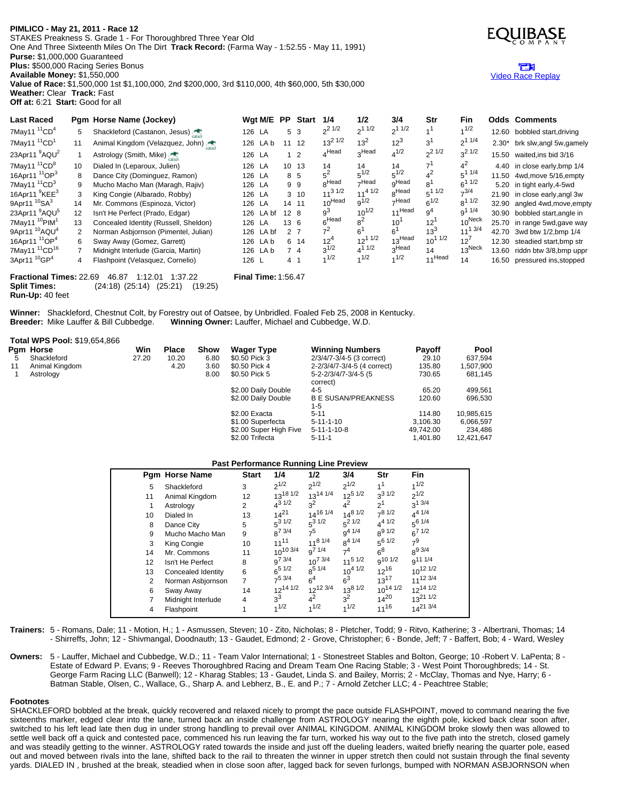# **PIMLICO - May 21, 2011 - Race 12**

**Weather:** Clear **Track:** Fast **Off at:** 6:21 **Start:** Good for all

STAKES Preakness S. Grade 1 - For Thoroughbred Three Year Old One And Three Sixteenth Miles On The Dirt **Track Record:** (Farma Way - 1:52.55 - May 11, 1991) **Purse:** \$1,000,000 Guaranteed **Plus:** \$500,000 Racing Series Bonus **Available Money:** \$1,550,000 **Value of Race:** \$1,500,000 1st \$1,100,000, 2nd \$200,000, 3rd \$110,000, 4th \$60,000, 5th \$30,000



## m Video Race [Replay](http://www.equibase.com/premium/eqpRaceVideo.cfm?TRK=PIM&CY=USA&DATE=05/21/2011&RACE=12&DAY=D&site=CHRR)

| <b>Last Raced</b>                                                                    |                      | Pgm Horse Name (Jockey)               |        | Wgt M/E   |                | <b>PP</b> Start | 1/4               | 1/2         | 3/4               | Str             | <b>Fin</b>         |         | <b>Odds Comments</b>          |
|--------------------------------------------------------------------------------------|----------------------|---------------------------------------|--------|-----------|----------------|-----------------|-------------------|-------------|-------------------|-----------------|--------------------|---------|-------------------------------|
| 7May11 <sup>11</sup> CD <sup>4</sup>                                                 | 5                    | Shackleford (Castanon, Jesus)         | 126 LA |           | 5 <sub>3</sub> |                 | $2^{21/2}$        | $2^{11/2}$  | $2^{11/2}$        | 1 <sup>1</sup>  | $1^{1/2}$          | 12.60   | bobbled start, driving        |
| 7May11 <sup>11</sup> CD <sup>1</sup>                                                 | 11                   | Animal Kingdom (Velazquez, John)      |        | 126 LA b  | 11 12          |                 | $13^{2}$ $1/2$    | $13^2$      | $12^3$            | 3 <sup>1</sup>  | $2^{11/4}$         | $2.30*$ | brk slw, angl 5w, gamely      |
| 23Apr11 <sup>9</sup> AQU <sup>2</sup>                                                |                      | Astrology (Smith, Mike)               | 126 LA |           |                | $1\quad2$       | $4$ Head          | 3Head       | $4^{1/2}$         | $2^{21/2}$      | $3^2$ 1/2          | 15.50   | waited,ins bid 3/16           |
| 7May11 <sup>11</sup> CD <sup>8</sup>                                                 | 10 <sup>1</sup>      | Dialed In (Leparoux, Julien)          | 126 LA |           |                | 10 13           | 14                | 14          | 14                | $7^{1}$         | $4^2$              |         | 4.40 in close early, bmp 1/4  |
| 16Apr11 <sup>11</sup> OP <sup>3</sup>                                                | 8                    | Dance City (Dominguez, Ramon)         | 126 LA |           | 8 5            |                 | $5^2$             | $5^{1/2}$   | $5^{1/2}$         | $4^2$           | $5^1$ $1/4$        | 11.50   | 4wd, move 5/16, empty         |
| 7May11 $11^{\circ}$ CD <sup>3</sup>                                                  | 9                    | Mucho Macho Man (Maragh, Rajiv)       | 126 LA |           | 99             |                 | <sub>R</sub> Head | $\neg$ Head | <sub>Q</sub> Head | 8 <sup>1</sup>  | $6^{11/2}$         |         | 5.20 in tight early, 4-5 wd   |
| 16Apr11 <sup>9</sup> KEE <sup>3</sup>                                                | 3                    | King Congie (Albarado, Robby)         | 126 LA |           |                | $3 \t10$        | $11^{31/2}$       | $11^4$ 1/2  | <sub>8</sub> Head | $5^{11/2}$      | $7^{3/4}$          |         | 21.90 in close early, angl 3w |
| 9Apr11 <sup>10</sup> SA <sup>3</sup>                                                 | 14                   | Mr. Commons (Espinoza, Victor)        | 126 LA |           | 14 11          |                 | 10Head            | $9^{1/2}$   | -Head             | $6^{1/2}$       | $8^{11/2}$         | 32.90   | angled 4wd, move, empty       |
| 23Apr11 <sup>9</sup> AQU <sup>5</sup>                                                | 12                   | Isn't He Perfect (Prado, Edgar)       |        | 126 LA bf | $12 \quad 8$   |                 | a <sup>3</sup>    | $10^{1/2}$  | 11Head            | g <sup>4</sup>  | $9^{11/4}$         |         | 30.90 bobbled start, angle in |
| 7May11 <sup>10</sup> PIM <sup>1</sup>                                                | 13                   | Concealed Identity (Russell, Sheldon) | 126 LA |           | 13 6           |                 | 6Head             | $8^2$       | $10^{1}$          | 12 <sup>1</sup> | $10^{Neck}$        |         | 25.70 in range 5wd, gave way  |
| 9Apr11 <sup>10</sup> AQU <sup>4</sup>                                                | $\mathbf{2}^{\circ}$ | Norman Asbjornson (Pimentel, Julian)  |        | 126 LA bf | 2 7            |                 | $7^2$             | $6^1$       | $6^1$             | $13^3$          | $11^{13/4}$        | 42.70   | 3wd btw 1/2, bmp 1/4          |
| 16Apr11 <sup>11</sup> OP <sup>4</sup>                                                | 6                    | Sway Away (Gomez, Garrett)            |        | 126 LA b  |                | 6 14            | $12^{4}$          | $12^{11/2}$ | 13Head            | $10^{11/2}$     | 12 <sup>7</sup>    | 12.30   | steadied start, bmp str       |
| 7May11 <sup>11</sup> CD <sup>16</sup>                                                |                      | Midnight Interlude (Garcia, Martin)   |        | 126 LA b  | 74             |                 | $3^{1/2}$         | $4^1$ 1/2   | 3Head             | 14              | $13^{\text{Neck}}$ | 13.60   | riddn btw 3/8,bmp uppr        |
| 3Apr11 <sup>10</sup> GP <sup>4</sup>                                                 | 4                    | Flashpoint (Velasquez, Cornelio)      | 126 L  |           | 4 <sub>1</sub> |                 | 1/2               | 1/2         | 1/2               | 11Head          | 14                 |         | 16.50 pressured ins, stopped  |
| Fractional Times: 22.69<br><b>Final Time: 1:56.47</b><br>46.87<br>1:12.01<br>1:37.22 |                      |                                       |        |           |                |                 |                   |             |                   |                 |                    |         |                               |

**Split Times:** (24:18) (25:14) (25:21) (19:25) **Run-Up:** 40 feet

Winner: Shackleford, Chestnut Colt, by Forestry out of Oatsee, by Unbridled. Foaled Feb 25, 2008 in Kentucky.<br>Breeder: Mike Lauffer & Bill Cubbedge. Winning Owner: Lauffer, Michael and Cubbedge, W.D. **Winning Owner:** Lauffer, Michael and Cubbedge, W.D.

#### **Total WPS Pool:** \$19,654,866

|    | Pam Horse      | Win   | <b>Place</b> | Show | <b>Wager Type</b>      | <b>Winning Numbers</b>                | <b>Payoff</b> | Pool        |
|----|----------------|-------|--------------|------|------------------------|---------------------------------------|---------------|-------------|
| 5. | Shackleford    | 27.20 | 10.20        | 6.80 | \$0.50 Pick 3          | 2/3/4/7-3/4-5 (3 correct)             | 29.10         | 637.594     |
| 11 | Animal Kingdom |       | 4.20         | 3.60 | \$0.50 Pick 4          | 2-2/3/4/7-3/4-5 (4 correct)           | 135.80        | 900, 507. ا |
|    | Astrology      |       |              | 8.00 | \$0.50 Pick 5          | 5-2-2/3/4/7-3/4-5 (5<br>correct)      | 730.65        | 681,145     |
|    |                |       |              |      | \$2.00 Daily Double    | $4 - 5$                               | 65.20         | 499.561     |
|    |                |       |              |      | \$2.00 Daily Double    | <b>B E SUSAN/PREAKNESS</b><br>$1 - 5$ | 120.60        | 696,530     |
|    |                |       |              |      | \$2.00 Exacta          | $5 - 11$                              | 114.80        | 10.985.615  |
|    |                |       |              |      | \$1.00 Superfecta      | $5 - 11 - 1 - 10$                     | 3.106.30      | 6.066.597   |
|    |                |       |              |      | \$2.00 Super High Five | $5 - 11 - 1 - 10 - 8$                 | 49.742.00     | 234.486     |
|    |                |       |              |      | \$2.00 Trifecta        | $5 - 11 - 1$                          | 1.401.80      | 12.421.647  |

### **Past Performance Running Line Preview**

|                   | Pgm Horse Name     | <b>Start</b>   | 1/4             | 1/2             | 3/4                | Str             | Fin                 |
|-------------------|--------------------|----------------|-----------------|-----------------|--------------------|-----------------|---------------------|
| 5                 | Shackleford        | 3              | $2^{1/2}$       | $2^{1/2}$       | $2^{1/2}$          | 1 <sup>1</sup>  | 1/2                 |
| 11                | Animal Kingdom     | 12             | $13^{18}$ $1/2$ | $13^{14}$ $1/4$ | $12^{5}$ $1/2$     | $3^{3/2}$       | $2^{1/2}$           |
| 1                 | Astrology          | 2              | $A^{31/2}$      | $3^2$           | $4^2$              | 2 <sup>1</sup>  | $3^{13/4}$          |
| 10                | Dialed In          | 13             | $14^{21}$       | 1416 1/4        | $14^{8}$ $1/2$     | $7^{8}$ 1/2     | $4^{4}$ $1/4$       |
| 8                 | Dance City         | 5              | $5^3$ 1/2       | $5^{31/2}$      | $5^2$ 1/2          | $4^{4}$ 1/2     | $5^{6}$ 1/4         |
| 9                 | Mucho Macho Man    | 9              | $R^{7}$ 3/4     | 75              | $9^{4}$ $1/4$      | $8^{9}$ 1/2     | $6^{7}$ 1/2         |
| 3                 | King Congie        | 10             | $11^{11}$       | $11^{8}$ $1/4$  | $8^{4}$ 1/4        | $5^{6}$ 1/2     | $7^9$               |
| 14                | Mr. Commons        | 11             | $10^{10}$ 3/4   | $q^{7}$ 1/4     | 7 <sup>4</sup>     | $6^8$           | $8^{9}$ 3/4         |
| $12 \overline{ }$ | Isn't He Perfect   | 8              | $9^{7}$ 3/4     | $10^{7}$ 3/4    | 11 <sup>51/2</sup> | $9^{10}$ 1/2    | g <sup>11 1/4</sup> |
| 13                | Concealed Identity | 6              | $6^{5}$ 1/2     | $8^{5}$ 1/4     | $10^{4}$ $1/2$     | $12^{16}$       | $10^{12}$ $1/2$     |
| 2                 | Norman Asbjornson  | 7              | $7^5$ 3/4       | 6 <sup>4</sup>  | $6^3$              | $13^{17}$       | $11^{12}$ 3/4       |
| 6                 | Sway Away          | 14             | $12^{14}$ $1/2$ | $12^{12}$ 3/4   | $13^{8}$ $1/2$     | $10^{14}$ $1/2$ | $12^{14}$ $1/2$     |
|                   | Midnight Interlude | $\overline{4}$ | $3^3$           | $4^2$           | $3^2$              | $14^{20}$       | $13^{21}$ $1/2$     |
| 4                 | Flashpoint         |                | 1/2             | 1/2             | 1/2                | $11^{16}$       | $14^{21}$ 3/4       |

**Trainers:** 5 - Romans, Dale; 11 - Motion, H.; 1 - Asmussen, Steven; 10 - Zito, Nicholas; 8 - Pletcher, Todd; 9 - Ritvo, Katherine; 3 - Albertrani, Thomas; 14 - Shirreffs, John; 12 - Shivmangal, Doodnauth; 13 - Gaudet, Edmond; 2 - Grove, Christopher; 6 - Bonde, Jeff; 7 - Baffert, Bob; 4 - Ward, Wesley

**Owners:** 5 - Lauffer, Michael and Cubbedge, W.D.; 11 - Team Valor International; 1 - Stonestreet Stables and Bolton, George; 10 -Robert V. LaPenta; 8 - Estate of Edward P. Evans; 9 - Reeves Thoroughbred Racing and Dream Team One Racing Stable; 3 - West Point Thoroughbreds; 14 - St. George Farm Racing LLC (Banwell); 12 - Kharag Stables; 13 - Gaudet, Linda S. and Bailey, Morris; 2 - McClay, Thomas and Nye, Harry; 6 - Batman Stable, Olsen, C., Wallace, G., Sharp A. and Lebherz, B., E. and P.; 7 - Arnold Zetcher LLC; 4 - Peachtree Stable;

#### **Footnotes**

SHACKLEFORD bobbled at the break, quickly recovered and relaxed nicely to prompt the pace outside FLASHPOINT, moved to command nearing the five sixteenths marker, edged clear into the lane, turned back an inside challenge from ASTROLOGY nearing the eighth pole, kicked back clear soon after, switched to his left lead late then dug in under strong handling to prevail over ANIMAL KINGDOM. ANIMAL KINGDOM broke slowly then was allowed to settle well back off a quick and contested pace, commenced his run leaving the far turn, worked his way out to the five path into the stretch, closed gamely and was steadily getting to the winner. ASTROLOGY rated towards the inside and just off the dueling leaders, waited briefly nearing the quarter pole, eased out and moved between rivals into the lane, shifted back to the rail to threaten the winner in upper stretch then could not sustain through the final seventy yards. DIALED IN , brushed at the break, steadied when in close soon after, lagged back for seven furlongs, bumped with NORMAN ASBJORNSON when